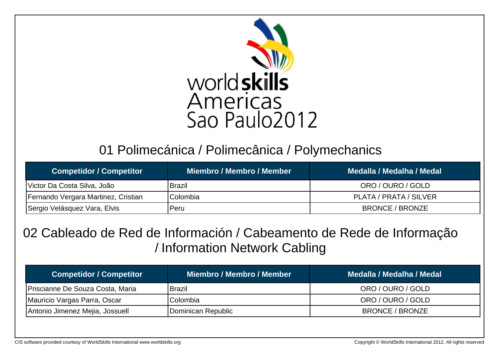

# 01 Polimecánica / Polimecânica / Polymechanics

| <b>Competidor / Competitor</b>      | Miembro / Membro / Member | Medalla / Medalha / Medal |
|-------------------------------------|---------------------------|---------------------------|
| Victor Da Costa Silva, João         | <b>Brazil</b>             | ORO / OURO / GOLD         |
| Fernando Vergara Martinez, Cristian | Colombia                  | PLATA / PRATA / SILVER    |
| Sergio Velásquez Vara, Elvis        | Peru                      | <b>BRONCE / BRONZE</b>    |

### 02 Cableado de Red de Información / Cabeamento de Rede de Informação / Information Network Cabling

| <b>Competidor / Competitor</b>   | Miembro / Membro / Member | Medalla / Medalha / Medal |
|----------------------------------|---------------------------|---------------------------|
| Priscianne De Souza Costa, Maria | <b>Brazil</b>             | ORO / OURO / GOLD         |
| Mauricio Vargas Parra, Oscar     | Colombia                  | ORO / OURO / GOLD         |
| Antonio Jimenez Mejia, Jossuell  | Dominican Republic        | BRONCE / BRONZE           |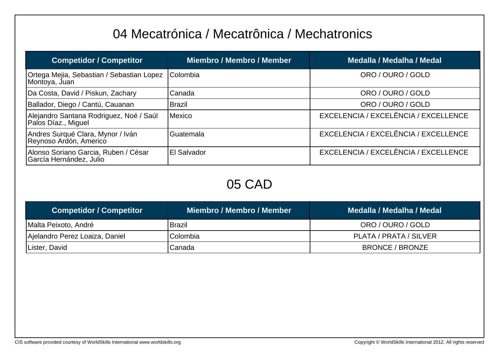# 04 Mecatrónica / Mecatrônica / Mechatronics

| <b>Competidor / Competitor</b>                                  | <b>Miembro / Membro / Member</b> | <b>Medalla / Medalha / Medal</b>     |
|-----------------------------------------------------------------|----------------------------------|--------------------------------------|
| Ortega Mejia, Sebastian / Sebastian Lopez<br>Montoya, Juan      | Colombia                         | ORO / OURO / GOLD                    |
| Da Costa, David / Piskun, Zachary                               | Canada                           | ORO / OURO / GOLD                    |
| Ballador, Diego / Cantú, Cauanan                                | <b>Brazil</b>                    | ORO / OURO / GOLD                    |
| Alejandro Santana Rodriguez, Noé / Saúl<br>Palos Díaz., Miguel  | Mexico                           | EXCELENCIA / EXCELÊNCIA / EXCELLENCE |
| Andres Surqué Clara, Mynor / Iván<br>Reynoso Ardón, Americo     | Guatemala                        | EXCELENCIA / EXCELÊNCIA / EXCELLENCE |
| Alonso Soriano Garcia, Ruben / César<br>García Hernández, Julio | El Salvador                      | EXCELENCIA / EXCELÊNCIA / EXCELLENCE |

### 05 CAD

| <b>Competidor / Competitor</b> | <b>Miembro / Membro / Member</b> | Medalla / Medalha / Medal |
|--------------------------------|----------------------------------|---------------------------|
| Malta Peixoto, André           | Brazil                           | ORO / OURO / GOLD         |
| Ajelandro Perez Loaiza, Daniel | <b>IColombia</b>                 | PLATA / PRATA / SILVER    |
| Lister, David                  | <b>Canada</b>                    | BRONCE / BRONZE           |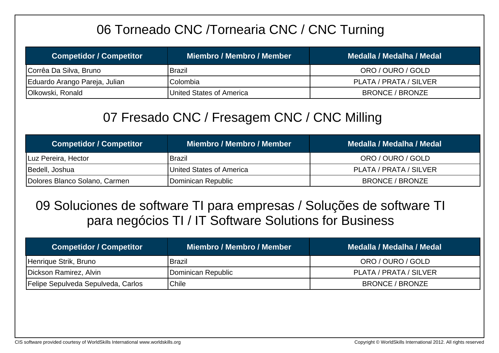# 06 Torneado CNC /Tornearia CNC / CNC Turning

| <b>Competidor / Competitor</b> | Miembro / Membro / Member | Medalla / Medalha / Medal |
|--------------------------------|---------------------------|---------------------------|
| Corrêa Da Silva, Bruno         | Brazil                    | ORO / OURO / GOLD         |
| Eduardo Arango Pareja, Julian  | <b>IColombia</b>          | PLATA / PRATA / SILVER    |
| Olkowski, Ronald               | United States of America  | BRONCE / BRONZE           |

### 07 Fresado CNC / Fresagem CNC / CNC Milling

| <b>Competidor / Competitor</b> | Miembro / Membro / Member | Medalla / Medalha / Medal |
|--------------------------------|---------------------------|---------------------------|
| Luz Pereira, Hector            | Brazil                    | ORO / OURO / GOLD         |
| Bedell, Joshua                 | United States of America  | PLATA / PRATA / SILVER    |
| Dolores Blanco Solano, Carmen  | Dominican Republic        | <b>BRONCE / BRONZE</b>    |

### 09 Soluciones de software TI para empresas / Soluções de software TI para negócios TI / IT Software Solutions for Business

| <b>Competidor / Competitor</b>     | Miembro / Membro / Member | Medalla / Medalha / Medal |
|------------------------------------|---------------------------|---------------------------|
| Henrique Strik, Bruno              | <b>Brazil</b>             | ORO / OURO / GOLD         |
| Dickson Ramirez, Alvin             | Dominican Republic        | PLATA / PRATA / SILVER    |
| Felipe Sepulveda Sepulveda, Carlos | Chile                     | <b>BRONCE / BRONZE</b>    |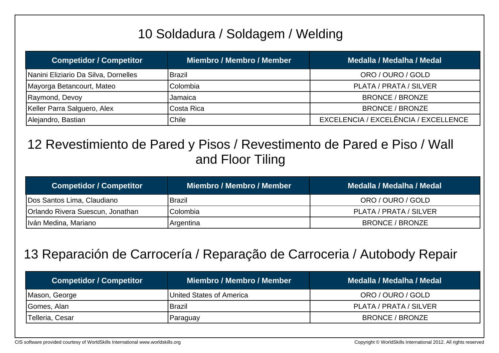# 10 Soldadura / Soldagem / Welding

| <b>Competidor / Competitor</b>       | <b>Miembro / Membro / Member</b> | Medalla / Medalha / Medal            |
|--------------------------------------|----------------------------------|--------------------------------------|
| Nanini Eliziario Da Silva, Dornelles | <b>Brazil</b>                    | ORO / OURO / GOLD                    |
| Mayorga Betancourt, Mateo            | Colombia                         | PLATA / PRATA / SILVER               |
| Raymond, Devoy                       | Jamaica                          | <b>BRONCE / BRONZE</b>               |
| Keller Parra Salguero, Alex          | Costa Rica                       | <b>BRONCE / BRONZE</b>               |
| Alejandro, Bastian                   | Chile                            | EXCELENCIA / EXCELÊNCIA / EXCELLENCE |

### 12 Revestimiento de Pared y Pisos / Revestimento de Pared e Piso / Wall and Floor Tiling

| <b>Competidor / Competitor</b>          | Miembro / Membro / Member | Medalla / Medalha / Medal |
|-----------------------------------------|---------------------------|---------------------------|
| Dos Santos Lima, Claudiano              | <b>Brazil</b>             | ORO / OURO / GOLD         |
| <b>Orlando Rivera Suescun, Jonathan</b> | Colombia                  | PLATA / PRATA / SILVER    |
| Iván Medina, Mariano                    | Argentina                 | <b>BRONCE / BRONZE</b>    |

### 13 Reparación de Carrocería / Reparação de Carroceria / Autobody Repair

| <b>Competidor / Competitor</b> | Miembro / Membro / Member | Medalla / Medalha / Medal |
|--------------------------------|---------------------------|---------------------------|
| Mason, George                  | United States of America  | ORO / OURO / GOLD         |
| Gomes, Alan                    | Brazil                    | PLATA / PRATA / SILVER    |
| Telleria, Cesar                | Paraguay                  | <b>BRONCE / BRONZE</b>    |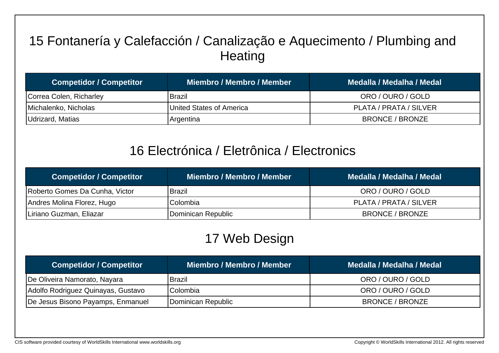# 15 Fontanería y Calefacción / Canalização e Aquecimento / Plumbing and **Heating**

| <b>Competidor / Competitor</b> | Miembro / Membro / Member | Medalla / Medalha / Medal |
|--------------------------------|---------------------------|---------------------------|
| Correa Colen, Richarley        | <b>Brazil</b>             | ORO / OURO / GOLD         |
| Michalenko, Nicholas           | United States of America  | PLATA / PRATA / SILVER    |
| Udrizard, Matias               | Argentina                 | BRONCE / BRONZE           |

#### 16 Electrónica / Eletrônica / Electronics

| <b>Competidor / Competitor</b> | Miembro / Membro / Member | Medalla / Medalha / Medal |
|--------------------------------|---------------------------|---------------------------|
| Roberto Gomes Da Cunha, Victor | <b>Brazil</b>             | ORO / OURO / GOLD         |
| Andres Molina Florez, Hugo     | lColombia                 | PLATA / PRATA / SILVER    |
| Liriano Guzman, Eliazar        | Dominican Republic        | BRONCE / BRONZE           |

# 17 Web Design

| <b>Competidor / Competitor</b>     | Miembro / Membro / Member | Medalla / Medalha / Medal |
|------------------------------------|---------------------------|---------------------------|
| De Oliveira Namorato, Nayara       | Brazil                    | ORO / OURO / GOLD         |
| Adolfo Rodriguez Quinayas, Gustavo | Colombia                  | ORO / OURO / GOLD         |
| De Jesus Bisono Payamps, Enmanuel  | Dominican Republic        | BRONCE / BRONZE           |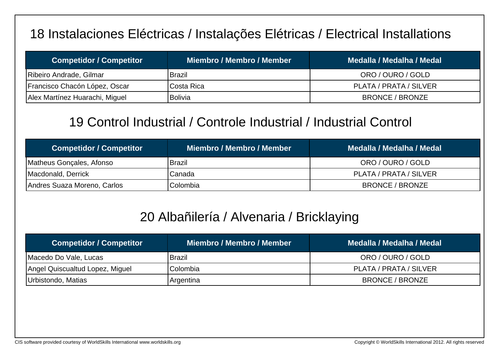## 18 Instalaciones Eléctricas / Instalações Elétricas / Electrical Installations

| <b>Competidor / Competitor</b> | Miembro / Membro / Member | Medalla / Medalha / Medal |
|--------------------------------|---------------------------|---------------------------|
| Ribeiro Andrade, Gilmar        | Brazil                    | ORO / OURO / GOLD         |
| Francisco Chacón López, Oscar  | ICosta Rica               | PLATA / PRATA / SILVER    |
| Alex Martínez Huarachi, Miguel | <b>Bolivia</b>            | BRONCE / BRONZE           |

### 19 Control Industrial / Controle Industrial / Industrial Control

| <b>Competidor / Competitor</b> | Miembro / Membro / Member | Medalla / Medalha / Medal |
|--------------------------------|---------------------------|---------------------------|
| Matheus Gonçales, Afonso       | Brazil                    | ORO / OURO / GOLD         |
| Macdonald, Derrick             | Canada                    | PLATA / PRATA / SILVER    |
| Andres Suaza Moreno, Carlos    | <b>Colombia</b>           | BRONCE / BRONZE           |

### 20 Albañilería / Alvenaria / Bricklaying

| <b>Competidor / Competitor</b>  | Miembro / Membro / Member | Medalla / Medalha / Medal |
|---------------------------------|---------------------------|---------------------------|
| Macedo Do Vale, Lucas           | Brazil                    | ORO / OURO / GOLD         |
| Angel Quiscualtud Lopez, Miguel | <b>Colombia</b>           | PLATA / PRATA / SILVER    |
| Urbistondo, Matias              | Argentina                 | BRONCE / BRONZE           |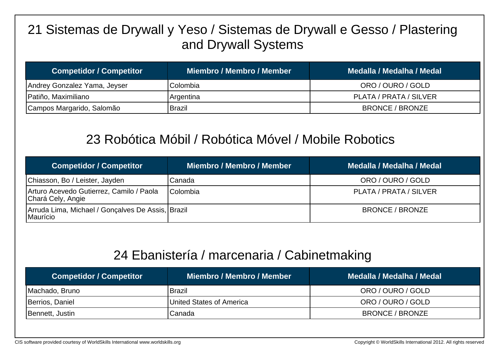# 21 Sistemas de Drywall y Yeso / Sistemas de Drywall e Gesso / Plastering and Drywall Systems

| <b>Competidor / Competitor</b> | Miembro / Membro / Member | Medalla / Medalha / Medal |
|--------------------------------|---------------------------|---------------------------|
| Andrey Gonzalez Yama, Jeyser   | Colombia                  | ORO / OURO / GOLD         |
| Patiño, Maximiliano            | Argentina                 | PLATA / PRATA / SILVER    |
| Campos Margarido, Salomão      | <b>Brazil</b>             | BRONCE / BRONZE           |

### 23 Robótica Móbil / Robótica Móvel / Mobile Robotics

| <b>Competidor / Competitor</b>                                | <b>Miembro / Membro / Member</b> | Medalla / Medalha / Medal |
|---------------------------------------------------------------|----------------------------------|---------------------------|
| Chiasson, Bo / Leister, Jayden                                | Canada                           | ORO / OURO / GOLD         |
| Arturo Acevedo Gutierrez, Camilo / Paola<br>Chará Cely, Angie | <b>Colombia</b>                  | PLATA / PRATA / SILVER    |
| Arruda Lima, Michael / Gonçalves De Assis, Brazil<br>Maurício |                                  | <b>BRONCE / BRONZE</b>    |

#### 24 Ebanistería / marcenaria / Cabinetmaking

| <b>Competidor / Competitor</b> | <b>Miembro / Membro / Member</b> | Medalla / Medalha / Medal |
|--------------------------------|----------------------------------|---------------------------|
| Machado, Bruno                 | Brazil                           | ORO / OURO / GOLD         |
| Berrios, Daniel                | United States of America         | ORO / OURO / GOLD         |
| Bennett, Justin                | Canada                           | <b>BRONCE / BRONZE</b>    |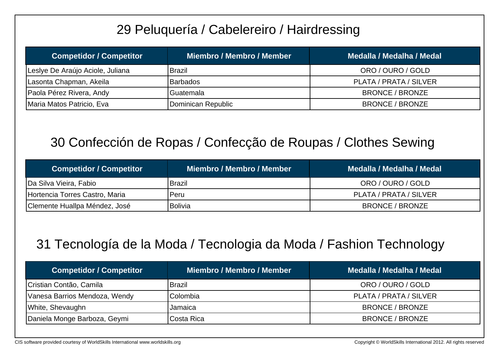# 29 Peluquería / Cabelereiro / Hairdressing

| <b>Competidor / Competitor</b>   | Miembro / Membro / Member | Medalla / Medalha / Medal |
|----------------------------------|---------------------------|---------------------------|
| Leslye De Araújo Aciole, Juliana | <b>Brazil</b>             | ORO / OURO / GOLD         |
| Lasonta Chapman, Akeila          | <b>Barbados</b>           | PLATA / PRATA / SILVER    |
| Paola Pérez Rivera, Andy         | Guatemala                 | BRONCE / BRONZE           |
| Maria Matos Patricio, Eva        | Dominican Republic        | BRONCE / BRONZE           |

### 30 Confección de Ropas / Confecção de Roupas / Clothes Sewing

| <b>Competidor / Competitor</b> | Miembro / Membro / Member | Medalla / Medalha / Medal |
|--------------------------------|---------------------------|---------------------------|
| Da Silva Vieira, Fabio         | Brazil                    | ORO / OURO / GOLD         |
| Hortencia Torres Castro, Maria | l Peru                    | PLATA / PRATA / SILVER    |
| Clemente Huallpa Méndez, José  | <b>Bolivia</b>            | BRONCE / BRONZE           |

# 31 Tecnología de la Moda / Tecnologia da Moda / Fashion Technology

| <b>Competidor / Competitor</b> | Miembro / Membro / Member | Medalla / Medalha / Medal |
|--------------------------------|---------------------------|---------------------------|
| Cristian Contão, Camila        | Brazil                    | ORO / OURO / GOLD         |
| Vanesa Barrios Mendoza, Wendy  | Colombia                  | PLATA / PRATA / SILVER    |
| White, Shevaughn               | Jamaica                   | <b>BRONCE / BRONZE</b>    |
| Daniela Monge Barboza, Geymi   | ICosta Rica               | BRONCE / BRONZE           |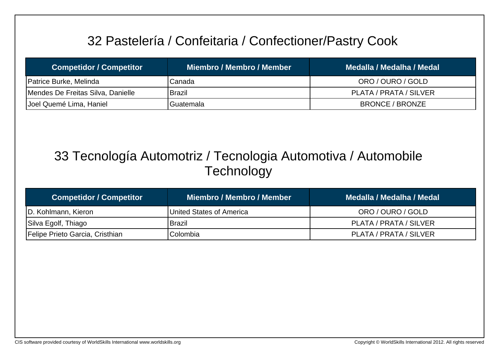# 32 Pastelería / Confeitaria / Confectioner/Pastry Cook

| <b>Competidor / Competitor</b>    | <b>Miembro / Membro / Member</b> | Medalla / Medalha / Medal |
|-----------------------------------|----------------------------------|---------------------------|
| Patrice Burke, Melinda            | Canada                           | ORO / OURO / GOLD         |
| Mendes De Freitas Silva, Danielle | <b>Brazil</b>                    | PLATA / PRATA / SILVER    |
| Joel Quemé Lima, Haniel           | Guatemala                        | BRONCE / BRONZE           |

# 33 Tecnología Automotriz / Tecnologia Automotiva / Automobile **Technology**

| <b>Competidor / Competitor</b>  | Miembro / Membro / Member | Medalla / Medalha / Medal |
|---------------------------------|---------------------------|---------------------------|
| D. Kohlmann, Kieron             | United States of America  | ORO / OURO / GOLD         |
| Silva Egolf, Thiago             | <b>Brazil</b>             | PLATA / PRATA / SILVER    |
| Felipe Prieto Garcia, Cristhian | Colombia                  | PLATA / PRATA / SILVER    |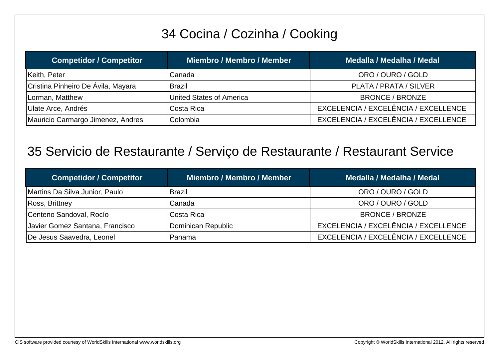# 34 Cocina / Cozinha / Cooking

| <b>Competidor / Competitor</b>     | <b>Miembro / Membro / Member</b> | Medalla / Medalha / Medal            |
|------------------------------------|----------------------------------|--------------------------------------|
| Keith, Peter                       | Canada                           | ORO / OURO / GOLD                    |
| Cristina Pinheiro De Ávila, Mayara | <b>Brazil</b>                    | PLATA / PRATA / SILVER               |
| Lorman, Matthew                    | United States of America         | <b>BRONCE / BRONZE</b>               |
| Ulate Arce, Andrés                 | Costa Rica                       | EXCELENCIA / EXCELÊNCIA / EXCELLENCE |
| Mauricio Carmargo Jimenez, Andres  | Colombia                         | EXCELENCIA / EXCELÊNCIA / EXCELLENCE |

#### 35 Servicio de Restaurante / Serviço de Restaurante / Restaurant Service

| <b>Competidor / Competitor</b>  | Miembro / Membro / Member | Medalla / Medalha / Medal            |
|---------------------------------|---------------------------|--------------------------------------|
| Martins Da Silva Junior, Paulo  | <b>Brazil</b>             | ORO / OURO / GOLD                    |
| Ross, Brittney                  | Canada                    | ORO / OURO / GOLD                    |
| Centeno Sandoval, Rocío         | Costa Rica                | <b>BRONCE / BRONZE</b>               |
| Javier Gomez Santana, Francisco | Dominican Republic        | EXCELENCIA / EXCELÊNCIA / EXCELLENCE |
| De Jesus Saavedra, Leonel       | Panama                    | EXCELENCIA / EXCELÊNCIA / EXCELLENCE |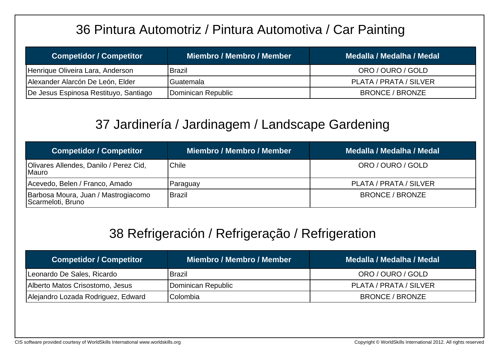# 36 Pintura Automotriz / Pintura Automotiva / Car Painting

| <b>Competidor / Competitor</b>        | Miembro / Membro / Member | Medalla / Medalha / Medal |
|---------------------------------------|---------------------------|---------------------------|
| Henrique Oliveira Lara, Anderson      | <b>Brazil</b>             | ORO / OURO / GOLD         |
| Alexander Alarcón De León, Elder      | Guatemala                 | PLATA / PRATA / SILVER    |
| De Jesus Espinosa Restituyo, Santiago | Dominican Republic        | <b>BRONCE / BRONZE</b>    |

# 37 Jardinería / Jardinagem / Landscape Gardening

| <b>Competidor / Competitor</b>                           | <b>Miembro / Membro / Member</b> | Medalla / Medalha / Medal |
|----------------------------------------------------------|----------------------------------|---------------------------|
| Olivares Allendes, Danilo / Perez Cid,<br> Mauro         | <b>Chile</b>                     | ORO / OURO / GOLD         |
| Acevedo, Belen / Franco, Amado                           | Paraguay                         | PLATA / PRATA / SILVER    |
| Barbosa Moura, Juan / Mastrogiacomo<br>Scarmeloti, Bruno | Brazil                           | <b>BRONCE / BRONZE</b>    |

### 38 Refrigeración / Refrigeração / Refrigeration

| <b>Competidor / Competitor</b>     | Miembro / Membro / Member | Medalla / Medalha / Medal |
|------------------------------------|---------------------------|---------------------------|
| Leonardo De Sales, Ricardo         | <b>Brazil</b>             | ORO / OURO / GOLD         |
| Alberto Matos Crisostomo, Jesus    | Dominican Republic        | PLATA / PRATA / SILVER    |
| Alejandro Lozada Rodriguez, Edward | Colombia                  | BRONCE / BRONZE           |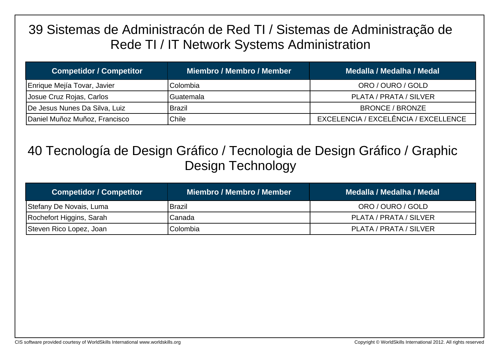## 39 Sistemas de Administracón de Red TI / Sistemas de Administração de Rede TI / IT Network Systems Administration

| <b>Competidor / Competitor</b> | Miembro / Membro / Member | Medalla / Medalha / Medal            |
|--------------------------------|---------------------------|--------------------------------------|
| Enrique Mejía Tovar, Javier    | Colombia                  | ORO / OURO / GOLD                    |
| Josue Cruz Rojas, Carlos       | Guatemala                 | PLATA / PRATA / SILVER               |
| De Jesus Nunes Da Silva, Luiz  | Brazil                    | <b>BRONCE / BRONZE</b>               |
| Daniel Muñoz Muñoz, Francisco  | Chile                     | EXCELENCIA / EXCELÊNCIA / EXCELLENCE |

# 40 Tecnología de Design Gráfico / Tecnologia de Design Gráfico / Graphic Design Technology

| <b>Competidor / Competitor</b> | Miembro / Membro / Member | Medalla / Medalha / Medal <sup> </sup> |
|--------------------------------|---------------------------|----------------------------------------|
| Stefany De Novais, Luma        | <b>Brazil</b>             | ORO / OURO / GOLD                      |
| Rochefort Higgins, Sarah       | Canada                    | PLATA / PRATA / SILVER                 |
| Steven Rico Lopez, Joan        | Colombia                  | PLATA / PRATA / SILVER                 |